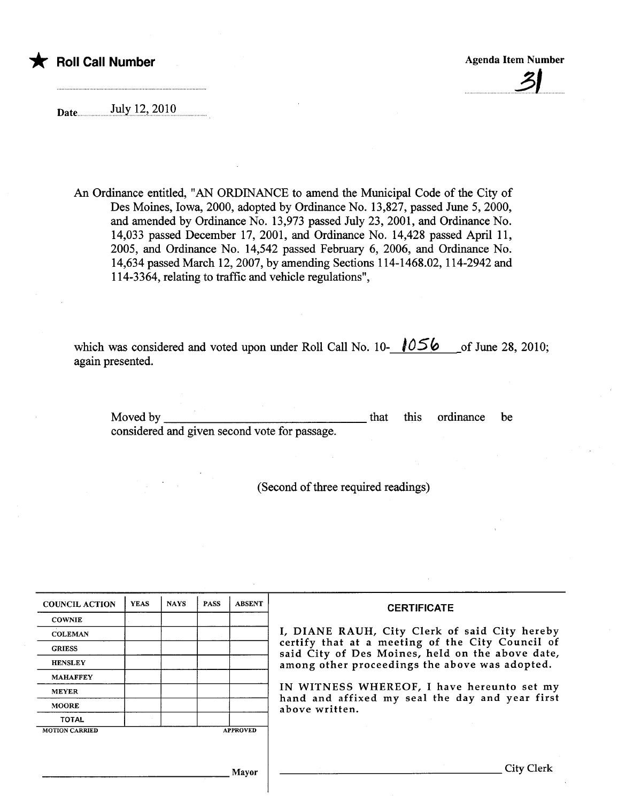# \* Roll Call Number Agenda Item Number Agenda Item Number Agenda Item Number

<u>. 21</u>

Date. ........!':i.y.i.~.?.~.9lQ

An Ordinance entitled, "AN ORDINANCE to amend the Muncipal Code of the City of Des Moines, Iowa, 2000, adopted by Ordinance No. 13,827, passed June 5, 2000, and amended by Ordinance No. 13,973 passed July 23,2001, and Ordinance No. 14,033 passed December 17, 2001, and Ordinance No. 14,428 passed April 11, 2005, and Ordinance No. 14,542 passed February 6, 2006, and Ordinance No. 14,634 passed March 12,2007, by amending Sections 114-1468.02, 114-2942 and 114-3364, relating to traffic and vehicle regulations",

which was considered and voted upon under Roll Call No. 10- $\sqrt{0.56}$  of June 28, 2010; again presented.

Moved by

that this ordinance be

considered and given second vote for passage.

(Second of thee required readings)

| <b>COUNCIL ACTION</b>                    | <b>YEAS</b> | <b>NAYS</b> | <b>PASS</b> | <b>ABSENT</b> | <b>CERTIFICATE</b>                                                                                                                                                                                                                                                                                                         |
|------------------------------------------|-------------|-------------|-------------|---------------|----------------------------------------------------------------------------------------------------------------------------------------------------------------------------------------------------------------------------------------------------------------------------------------------------------------------------|
| <b>COWNIE</b>                            |             |             |             |               |                                                                                                                                                                                                                                                                                                                            |
| <b>COLEMAN</b>                           |             |             |             |               | I, DIANE RAUH, City Clerk of said City hereby<br>certify that at a meeting of the City Council of<br>said City of Des Moines, held on the above date,<br>among other proceedings the above was adopted.<br>IN WITNESS WHEREOF, I have hereunto set my<br>hand and affixed my seal the day and year first<br>above written. |
| <b>GRIESS</b>                            |             |             |             |               |                                                                                                                                                                                                                                                                                                                            |
| <b>HENSLEY</b>                           |             |             |             |               |                                                                                                                                                                                                                                                                                                                            |
| <b>MAHAFFEY</b>                          |             |             |             |               |                                                                                                                                                                                                                                                                                                                            |
| <b>MEYER</b>                             |             |             |             |               |                                                                                                                                                                                                                                                                                                                            |
| <b>MOORE</b>                             |             |             |             |               |                                                                                                                                                                                                                                                                                                                            |
| <b>TOTAL</b>                             |             |             |             |               |                                                                                                                                                                                                                                                                                                                            |
| <b>APPROVED</b><br><b>MOTION CARRIED</b> |             |             |             |               |                                                                                                                                                                                                                                                                                                                            |
|                                          |             |             |             |               |                                                                                                                                                                                                                                                                                                                            |
|                                          |             |             |             |               |                                                                                                                                                                                                                                                                                                                            |
| <b>Mayor</b>                             |             |             |             |               | City Clerk                                                                                                                                                                                                                                                                                                                 |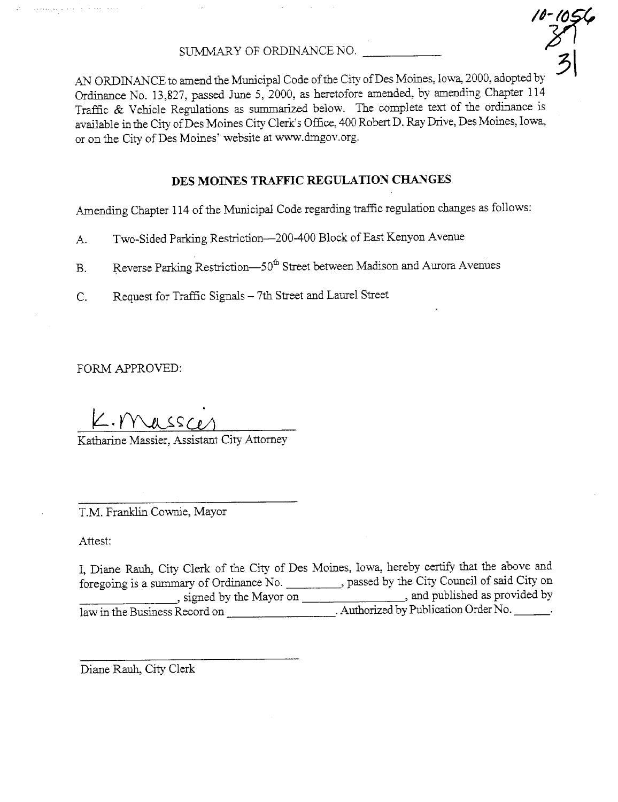SUMMARY OF ORDINANCE NO.  $\qquad \qquad$ 

10-109<br>|<br>|3<br>| AN ORDINANCE to amend the Municipal Code of the City of Des Moines, Iowa, 2000, adopted by Ordiance No. 13,827, passed June 5, 2000, as heretofore amended, by amendig Chapter 114 Traffic & Vehicle Regulations as summarized below. The complete text of the ordinance is available in the City of Des Moines City Clerk's Office, 400 Robert D. Ray Drive, Des Moines, Iowa, or on the City of Des Moines' website at ww.dmgov.org.

## DES MOINES TRAFFIC REGULATION CHANGES

Amending Chapter 114 of the Municipal Code regarding traffic regulation changes as follows:

- A. Two-Sided Parking Restriction-200-400 Block of East Kenyon Avenue
- B. Reverse Parking Restriction-50<sup>th</sup> Street between Madison and Aurora Avenues
- C. Request for Traffic Signals 7th Street and Laurel Street

FORM APPROVED:

وللواعظ وأعليتها والملتان

 $K.$  Massac

Katharine Massier, Assistant City Attorney

T.M. Franklin Cownie, Mayor

Attest:

I, Diane Rauh, City Clerk of the City of Des Moines, Iowa, hereby certify that the above and foregoing is a summary of Ordinance No. , passed by the City Council of said City on , signed by the Mayor on  $\qquad \qquad$ , and published as provided by law in the Business Record on \_\_\_\_\_\_\_\_\_\_\_\_\_\_\_\_\_\_\_\_\_\_. Authorized by Publication Order No.

Diane Rauh, City Clerk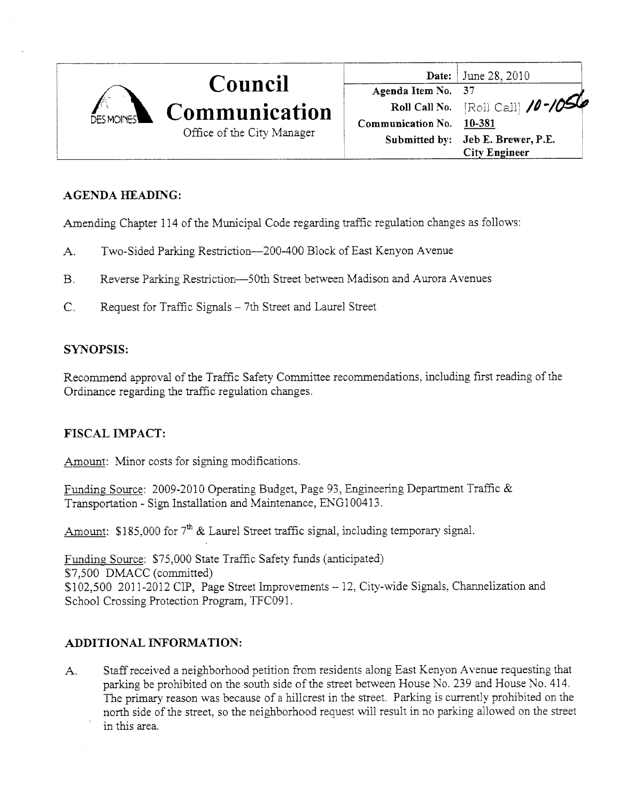

# AGENDA HEADING:

Amending Chapter 114 of the Municipal Code regarding traffic regulation changes as follows:

- A. Two-Sided Parking Restriction-200-400 Block of East Kenyon Avenue
- B. Reverse Parking Restriction-50th Street between Madison and Aurora Avenues
- C. Request for Traffic Signals 7th Street and Laurel Street

# SYNOPSIS:

Recommend approval of the Traffic Safety Committee recommendations, including first reading of the Ordinance regarding the traffic regulation changes.

# FISCAL IMPACT:

Amount: Minor costs for signing modifications.

Funding Source: 2009-2010 Operating Budget, Page 93, Engineering Department Traffic & Transportation - Sign Installation and Maintenance, ENG 100413.

Amount: \$185,000 for  $7<sup>th</sup>$  & Laurel Street traffic signal, including temporary signal.

Funding Source: \$75,000 State Traffic Safety funds (anticipated) \$7,500 DMACC (committed) \$102,500 2011-2012 CIP, Page Street Improvements - 12, City-wide Signals, Channelization and School Crossing Protection Program, TFC091.

# ADDITIONAL INFORMATION:

A. Staff received a neighborhood petition from residents along East Kenyon A venue requesting that parking be prohibited on the south side of the street between House No. 239 and House No. 414. The primary reason was because of a hillcrest in the street. Parking is currently prohibited on the north side of the street, so the neighborhood request will result in no parking allowed on the street in this area.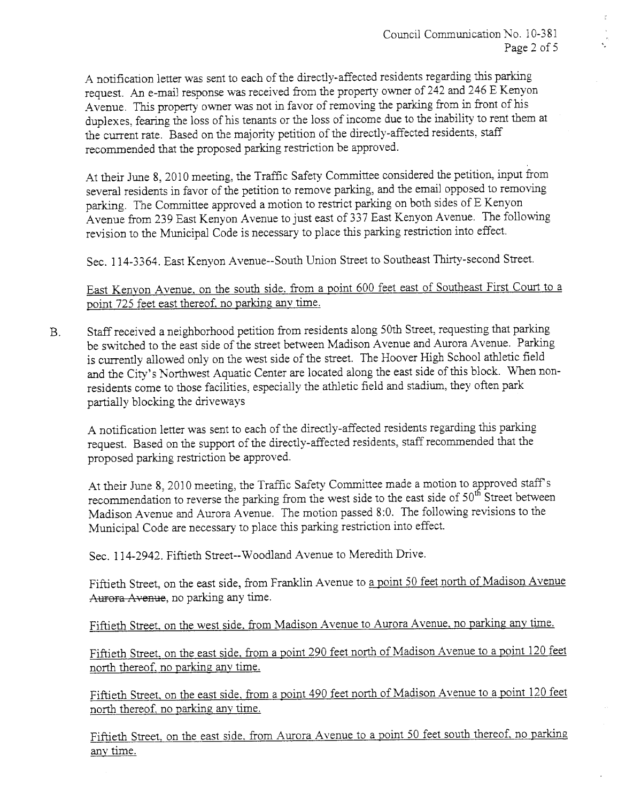A notification letter was sent to each of the directly-affected residents regarding this parking request. An e-mail response was received from the property owner of 242 and 246 E Kenyon Avenue. This property owner was not in favor of removing the parking from in front of his duplexes, fearing the loss of his tenants or the loss of income due to the inability to rent them at the curent rate. Based on the majority petition of the directly-affected residents, staff recommended that the proposed parking restriction be approved.

At their June 8, 2010 meeting, the Traffic Safety Commttee considered the petition, input from several residents in favor of the petition to remove parking, and the email opposed to removing parking. The Committee approved a motion to restrict parking on both sides of E Kenyon Avenue from 239 East Kenyon Avenue to just east of 337 East Kenyon Avenue. The following revision to the Municipal Code is necessary to place ths parking restriction into effect.

Sec. 114-3364. East Kenyon Avenue--South Union Street to Southeast Thirty-second Street.

East Kenyon Avenue, on the south side. from a point 600 feet east of Southeast First Court to a point 725 feet east thereof, no parking any time.

B. Staff received a neighborhood petition from residents along 50th Street, requesting that parking be switched to the east side of the street between Madison Avenue and Aurora Avenue. Parking is currently allowed only on the west side of the street. The Hoover High School athletic field and the City's Northwest Aquatic Center are located along the east side of this block. When nonresidents come to those facilities, especially the athetic field and stadium, they often park parially blocking the drveways

A notification letter was sent to each of the directly-affected residents regarding this parking request. Based on the support of the directly-affected residents, staff recommended that the proposed parking restriction be approved.

At their June 8, 2010 meeting, the Traffic Safety Committee made a motion to approved staff's recommendation to reverse the parking from the west side to the east side of  $50^{th}$  Street between Madison Avenue and Aurora Avenue. The motion passed 8:0. The following revisions to the Municipal Code are necessary to place this parking restriction into effect.

Sec. 114-2942. Fiftieth Street--Wood1and Avenue to Meredith Drive.

Fiftieth Street, on the east side, from Franklin Avenue to a point 50 feet north of Madison Avenue Aurora Avenue, no parking any time.

Fiftieth Street. on the west side. from Madison Avenue to Aurora Avenue. no parking any time.

Fiftieth Street, on the east side, from a point 290 feet north of Madison Avenue to a point 120 feet north thereof, no parking any time.

Fiftieth Street. on the east side. from a point 490 feet north of Madison Avenue to a point 120 feet north thereof, no parking any time.

Fiftieth Street. on the east side. from Aurora Avenue to a point 50 feet south thereof. no parking any time.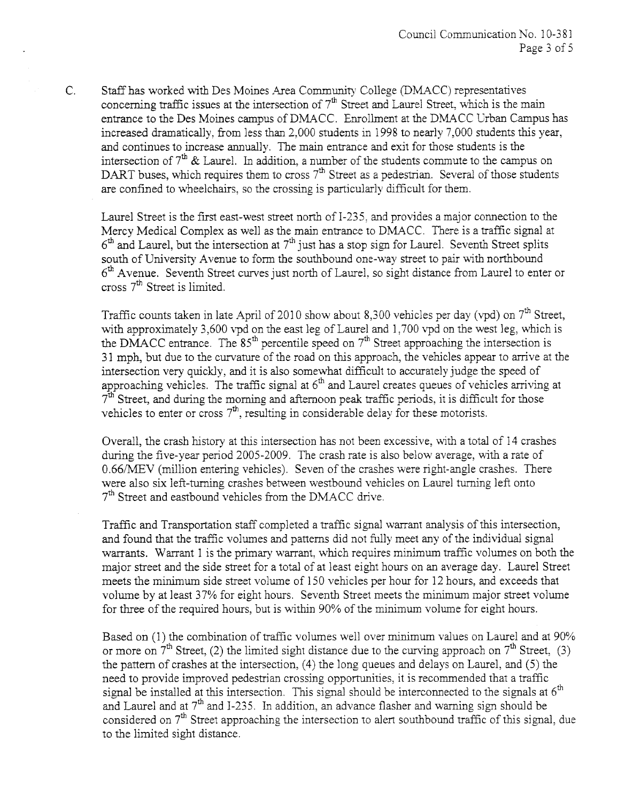C. Staff has worked with Des Moines Area Community College (DMACC) representatives concerning traffic issues at the intersection of  $7<sup>th</sup>$  Street and Laurel Street, which is the main entrance to the Des Moines campus of DMACC. Enrollment at the DMACC Urban Campus has increased dramatically, from less than 2,000 students in 1998 to nearly 7,000 students this year, and continues to increase anualy. The main entrance and exit for those students is the intersection of  $7<sup>th</sup>$  & Laurel. In addition, a number of the students commute to the campus on DART buses, which requires them to cross  $7<sup>th</sup>$  Street as a pedestrian. Several of those students are confined to wheelchairs, so the crossing is particularly difficult for them.

Laurel Street is the first east-west street north of I-235, and provides a major connection to the Mercy Medical Complex as well as the main entrance to DMACC. There is a traffic signal at  $6<sup>th</sup>$  and Laurel, but the intersection at  $7<sup>th</sup>$  just has a stop sign for Laurel. Seventh Street splits south of University Avenue to form the southbound one-way street to pair with northbound  $6<sup>th</sup>$  Avenue. Seventh Street curves just north of Laurel, so sight distance from Laurel to enter or cross  $7<sup>th</sup>$  Street is limited.

Traffic counts taken in late April of 2010 show about 8,300 vehicles per day (vpd) on 7<sup>th</sup> Street, with approximately 3,600 vpd on the east leg of Laurel and 1,700 vpd on the west leg, which is the DMACC entrance. The  $85<sup>th</sup>$  percentile speed on  $7<sup>th</sup>$  Street approaching the intersection is 31 mph, but due to the curvature of the road on this approach, the vehicles appear to arrive at the intersection very quickly, and it is also somewhat difficult to accurately judge the speed of approaching vehicles. The traffic signal at  $6<sup>th</sup>$  and Laurel creates queues of vehicles arriving at  $7<sup>th</sup>$  Street, and during the morning and afternoon peak traffic periods, it is difficult for those vehicles to enter or cross  $7<sup>th</sup>$ , resulting in considerable delay for these motorists.

Overall, the crash history at ths intersection has not been excessive, with a total of 14 crashes during the five-year period 2005-2009. The crash rate is also below average, with a rate of 0.66/MEV (million entering vehicles). Seven of the crashes were right-angle crashes. There were also six left-turning crashes between westbound vehicles on Laurel turning left onto  $7<sup>th</sup>$  Street and eastbound vehicles from the DMACC drive.

Traffic and Transportation staff completed a traffic signal warrant analysis of this intersection, and found that the traffic volumes and patterns did not fully meet any of the individual signal warrants. Warrant 1 is the primary warrant, which requires minimum traffic volumes on both the major street and the side street for a total of at least eight hours on an average day. Laurel Street meets the minum side street volume of 150 vehicles per hour for 12 hours, and exceeds that volume by at least 37% for eight hours. Seventh Street meets the minimum major street volume for three of the required hours, but is within 90% of the minimum volume for eight hours.

Based on (1) the combination of traffic volumes well over minimum values on Laurel and at 90% or more on  $7<sup>th</sup>$  Street, (2) the limited sight distance due to the curving approach on  $7<sup>th</sup>$  Street, (3) the pattern of crashes at the intersection, (4) the long queues and delays on Laurel, and (5) the need to provide improved pedestrian crossing opportunities, it is recommended that a traffic signal be installed at this intersection. This signal should be interconnected to the signals at  $6<sup>th</sup>$ and Laurel and at  $7<sup>th</sup>$  and I-235. In addition, an advance flasher and warning sign should be considered on  $7<sup>th</sup>$  Street approaching the intersection to alert southbound traffic of this signal, due to the limited sight distance.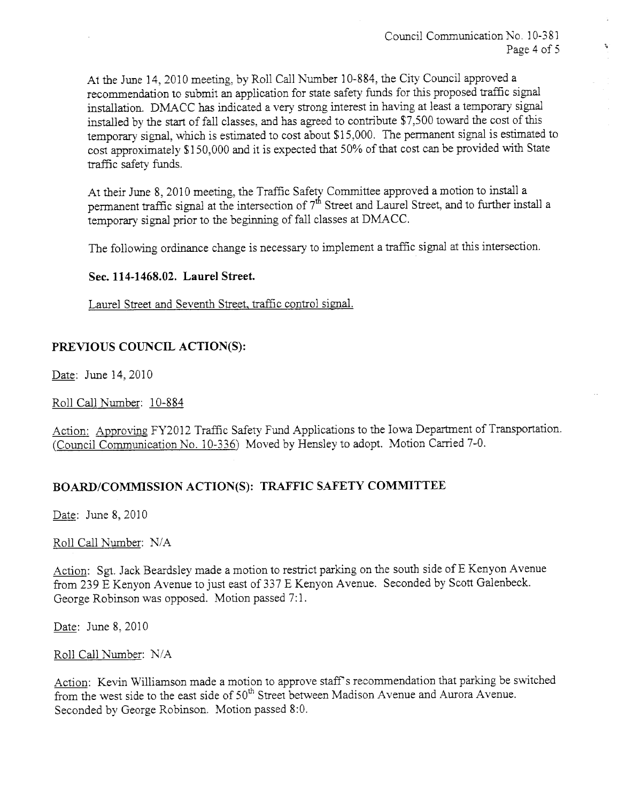At the June 14,2010 meetig, by Roll Call Number 10-884, the City Council approved a recommendation to submit an application for state safety funds for this proposed traffic signal installation. DMACC has indicated a very strong interest in having at least a temporary signal installed by the start of fall classes, and has agreed to contribute \$7,500 toward the cost of this temporary signal, which is estimated to cost about \$15,000. The permanent signal is estimated to cost approximately \$150,000 and it is expected that 50% of that cost can be provided with State traffic safety funds.

At their June 8, 2010 meeting, the Traffic Safety Committee approved a motion to install a permanent traffic signal at the intersection of  $7<sup>th</sup>$  Street and Laurel Street, and to further install a temporary signal prior to the beginning of fall classes at DMACC.

The following ordinance change is necessary to implement a traffic signal at this intersection.

#### Sec. 114-1468.02. Laurel Street.

Laurel Street and Seventh Street, traffic control signal.

## PREVIOUS COUNCIL ACTION(S):

Date: June 14,2010

Roll Call Number: 10-884

Action: Approving FY2012 Traffic Safety Fund Applications to the Iowa Department of Transportation. (Council Communication No. 10-336) Moved by Hensley to adopt. Motion Carried 7-0.

## BOARD/COMMISSION ACTION(S): TRAFFIC SAFETY COMMITTEE

Date: June 8, 2010

#### Roll Call Number: N/A

Action: Sgt. Jack Beardsley made a motion to restrict parking on the south side of E Kenyon Avenue from 239 E Kenyon Avenue to just east of 337 E Kenyon Avenue. Seconded by Scott Galenbeck. George Robinson was opposed. Motion passed 7:1.

Date: June 8,2010

Roll Call Number: N/A

Action: Kevin Wiliamson made a motion to approve staff s recommendation that parking be switched from the west side to the east side of  $50<sup>th</sup>$  Street between Madison Avenue and Aurora Avenue. Seconded by George Robinson. Motion passed 8:0.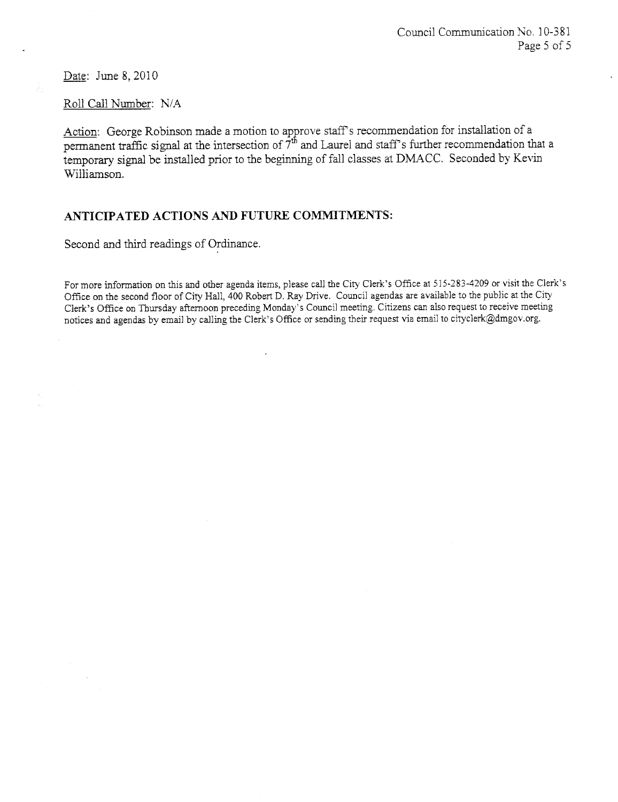Date: June 8, 2010

Roll Call Number: N/A

Action: George Robinson made a motion to approve staff's recommendation for installation of a permanent traffic signal at the intersection of  $7<sup>th</sup>$  and Laurel and staff's further recommendation that a temporary signal be installed prior to the beginning of fall classes at DMACC. Seconded by Kevin Wiliamson.

## ANTICIPATED ACTIONS AND FUTURE COMMITMENTS:

Second and third readings of Ordinance.

For more information on this and other agenda items, please call the City Clerk's Office at 515-283-4209 or visit the Clerk's Office on the second floor of City Hall, 400 Robert D. Ray Drive. Council agendas are available to the public at the City Clerk's Office on Thursday afternoon preceding Monday's Council meeting. Citizens can also request to receive meeting notices and agendas by email by calling the Clerk's Office or sending their request via email to cityclerk@dmgov.org.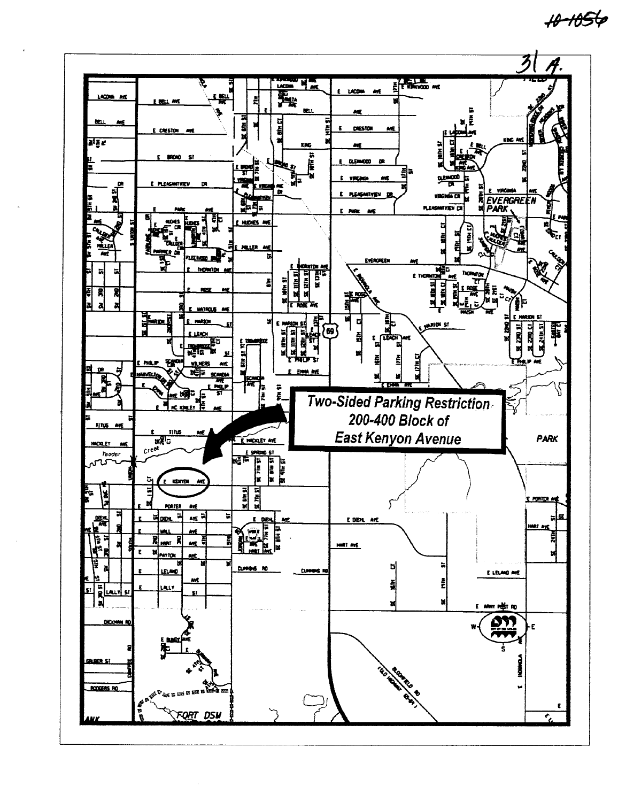$+0 - 1056$ 

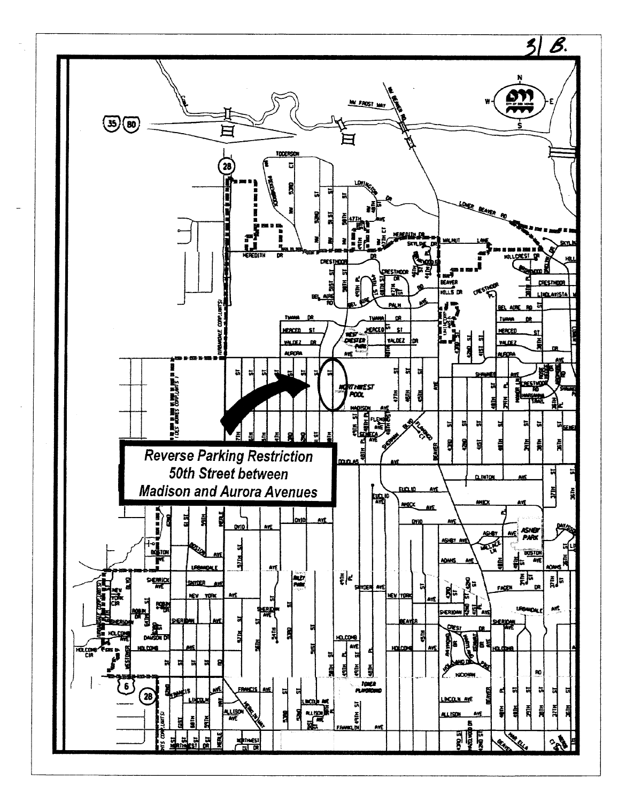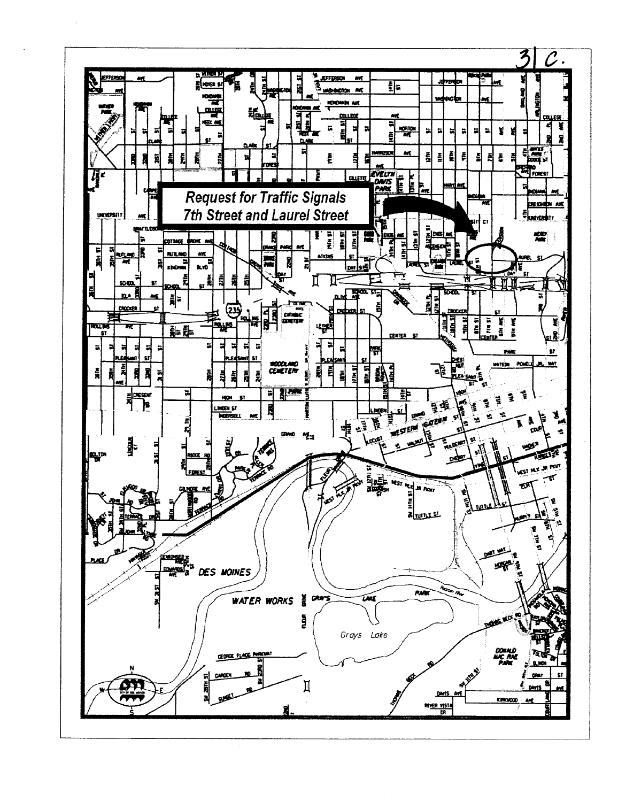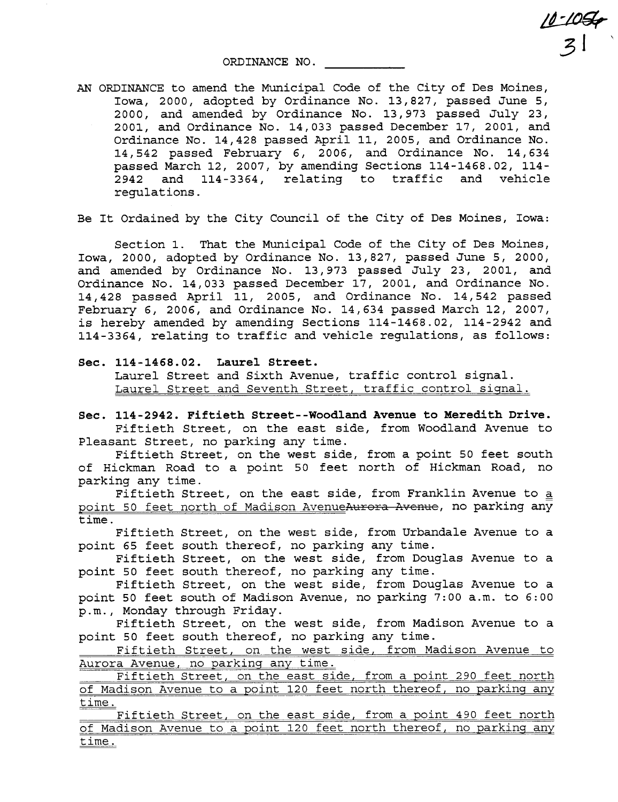ORDINANCE NO.

AN ORDINANCE to amend the Municipal Code of the City of Des Moines, Iowa, 2000, adopted by Ordinance No. 13,827, passed June 5, 2000, and amended by Ordinance No. 13,973 passed July 23, 2001, and Ordinance No. 14,033 passed December 17, 2001, and Ordinance No. 14,428 passed April 11, 2005, and Ordinance No. 14,542 passed February 6, 2006, and Ordinance No. 14,634 passed March 12, 2007, by amending Sections 114-1468.02, 114- 2942 and 114-3364, relating to traffic and vehicle regulations.

 $\frac{10-10}{2}$ 

 $\mathcal{Z}^{\perp}$ 

Be It Ordained by the City Council of the City of Des Moines, Iowa:

Section 1. That the Municipal Code of the City of Des Moines, Iowa, 2000, adopted by Ordinance No. 13,827, passed June 5, 2000, and amended by Ordinance No. 13,973 passed July 23, 2001, and Ordinance No. 14,033 passed December 17, 2001, and Ordinance No. 14,428 passed April 11, 2005, and Ordinance No. 14,542 passed February 6, 2006, and Ordinance No. 14,634 passed March 12, 2007, is hereby amended by amending Sections 114-1468.02, 114-2942 and 114-3364, relating to traffic and vehicle regulations, as follows:

Sec. 114 - 1468.02. Laurel Street. Laurel Street and Sixth Avenue, traffic control signal. Laurel Street and Seventh Street, traffic control signal.

Sec. 114-2942. Fiftieth Street--Woodland Avenue to Meredith Drive. Fiftieth Street, on the east side, from Woodland Avenue to Pleasant Street, no parking any time.

Fiftieth Street, on the west side, from a point 50 feet south of Hickman Road to a point 50 feet north of Hickman Road, no parking any time.

Fiftieth Street, on the east side, from Franklin Avenue to a point 50 feet north of Madison AvenueAurora Avenue, no parking any time.

Fiftieth Street, on the west side, from Urbandale Avenue to a point 65 feet south thereof, no parking any time.

Fiftieth Street, on the west side, from Douglas Avenue to a point 50 feet south thereof, no parking any time.

Fiftieth Street, on the west side, from Douglas Avenue to a point 50 feet south of Madison Avenue, no parking 7:00 a.m. to 6:00 p.m., Monday through Friday.

Fiftieth Street, on the west side, from Madison Avenue to a point 50 feet south thereof, no parking any time.

Fiftieth Street, on the west side, from Madison Avenue to Aurora Avenue, no parking any time.

Fiftieth Street, on the east side, from a point 290 feet north of Madison Avenue to a point 120 feet north thereof, no parking any time.

Fiftieth Street, on the east side, from a point 490 feet north of Madison Avenue to a point 120 feet north thereof, no parking any time.